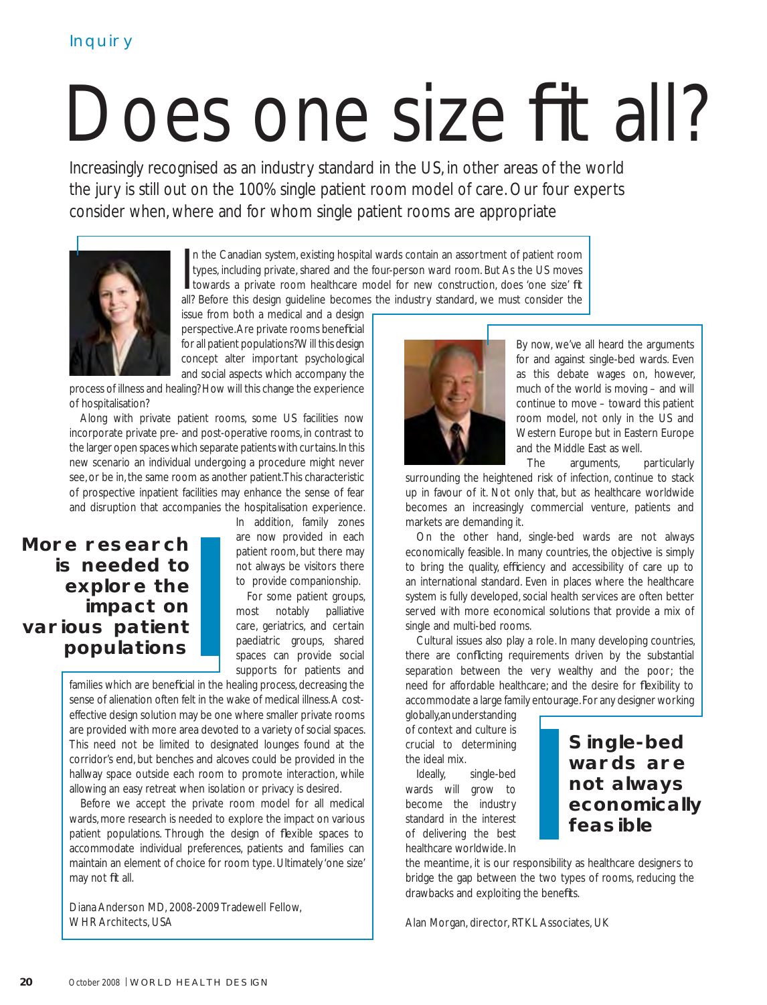# Does one size fit all?

Increasingly recognised as an industry standard in the US, in other areas of the world the jury is still out on the 100% single patient room model of care. Our four experts consider when, where and for whom single patient rooms are appropriate



In the Canadian system, existing hospital wards contain an assortment of patient room types, including private, shared and the four-person ward room. But As the US moves towards a private room healthcare model for new cons n the Canadian system, existing hospital wards contain an assortment of patient room types, including private, shared and the four-person ward room. But As the US moves I towards a private room healthcare model for new construction, does 'one size' fit

issue from both a medical and a design perspective. Are private rooms beneficial for all patient populations? Will this design concept alter important psychological and social aspects which accompany the

process of illness and healing? How will this change the experience of hospitalisation?

Along with private patient rooms, some US facilities now incorporate private pre- and post-operative rooms, in contrast to the larger open spaces which separate patients with curtains. In this new scenario an individual undergoing a procedure might never see, or be in, the same room as another patient. This characteristic of prospective inpatient facilities may enhance the sense of fear and disruption that accompanies the hospitalisation experience.

## More research is needed to explore the impact on various patient populations

In addition, family zones are now provided in each patient room, but there may not always be visitors there to provide companionship.

For some patient groups, most notably palliative care, geriatrics, and certain paediatric groups, shared spaces can provide social supports for patients and

families which are beneficial in the healing process, decreasing the sense of alienation often felt in the wake of medical illness. A costeffective design solution may be one where smaller private rooms are provided with more area devoted to a variety of social spaces. This need not be limited to designated lounges found at the corridor's end, but benches and alcoves could be provided in the hallway space outside each room to promote interaction, while allowing an easy retreat when isolation or privacy is desired.

Before we accept the private room model for all medical wards, more research is needed to explore the impact on various patient populations. Through the design of flexible spaces to accommodate individual preferences, patients and families can maintain an element of choice for room type. Ultimately 'one size' may not fit all.

Diana Anderson MD, 2008-2009 Tradewell Fellow, WHR Architects, USA



By now, we've all heard the arguments for and against single-bed wards. Even as this debate wages on, however, much of the world is moving – and will continue to move – toward this patient room model, not only in the US and Western Europe but in Eastern Europe and the Middle East as well.

The arguments, particularly

surrounding the heightened risk of infection, continue to stack up in favour of it. Not only that, but as healthcare worldwide becomes an increasingly commercial venture, patients and markets are demanding it.

On the other hand, single-bed wards are not always economically feasible. In many countries, the objective is simply to bring the quality, efficiency and accessibility of care up to an international standard. Even in places where the healthcare system is fully developed, social health services are often better served with more economical solutions that provide a mix of single and multi-bed rooms.

Cultural issues also play a role. In many developing countries, there are conflicting requirements driven by the substantial separation between the very wealthy and the poor; the need for affordable healthcare; and the desire for flexibility to accommodate a large family entourage. For any designer working

globally, an understanding of context and culture is crucial to determining the ideal mix.

Ideally, single-bed wards will grow to become the industry standard in the interest of delivering the best healthcare worldwide. In

### Single-bed wards are not always economically feasible

the meantime, it is our responsibility as healthcare designers to bridge the gap between the two types of rooms, reducing the drawbacks and exploiting the benefits.

Alan Morgan, director, RTKL Associates, UK